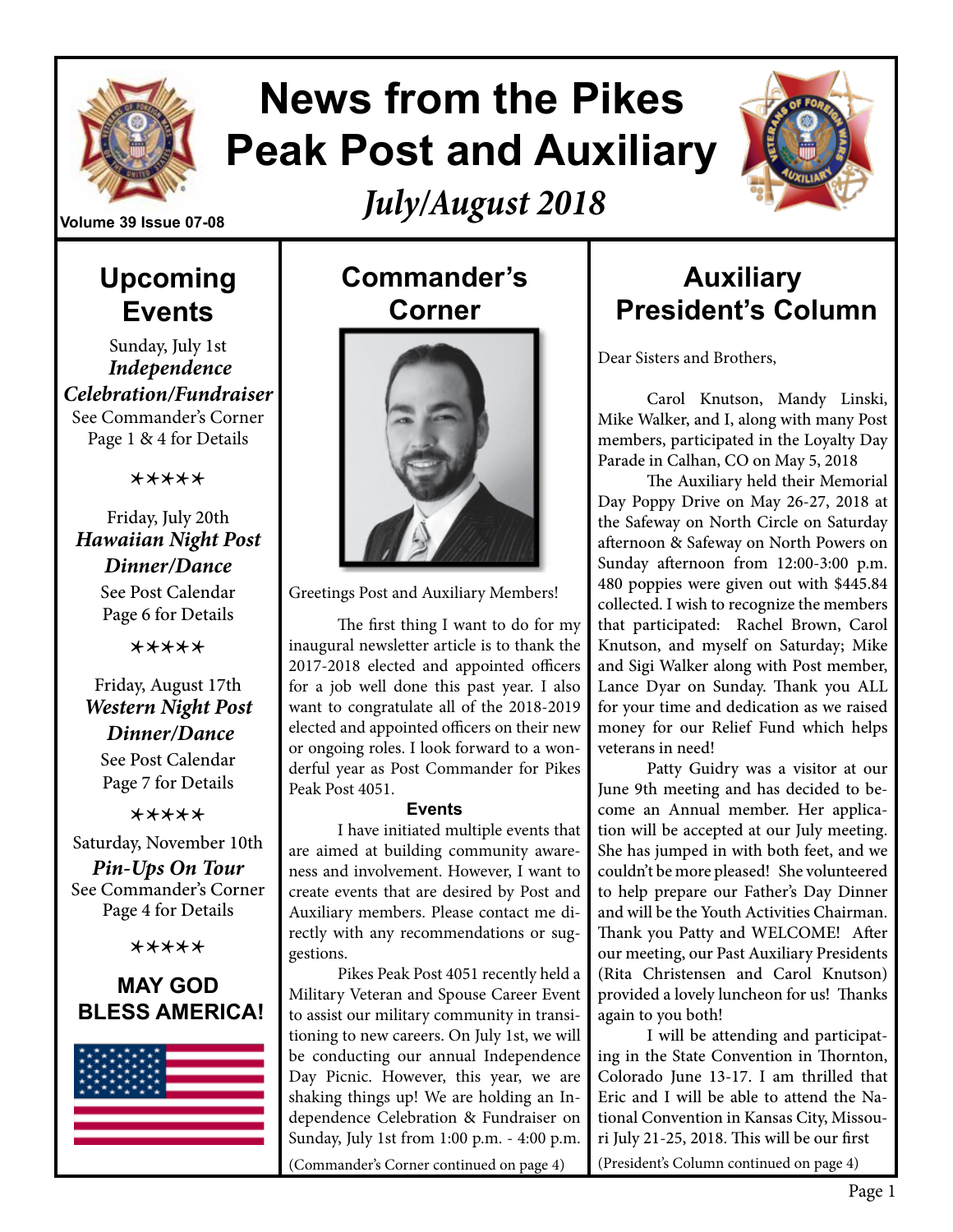

# **News from the Pikes Peak Post and Auxiliary**

*July/August 2018*



**Volume 39 Issue 07-08**

### **Upcoming Events**

Sunday, July 1st *Independence Celebration/Fundraiser*  See Commander's Corner Page 1 & 4 for Details

\*\*\*\*\*

Friday, July 20th *Hawaiian Night Post Dinner/Dance*

See Post Calendar Page 6 for Details

\*\*\*\*\*

#### Friday, August 17th *Western Night Post Dinner/Dance*

See Post Calendar Page 7 for Details

\*\*\*\*\*

Saturday, November 10th *Pin-Ups On Tour* See Commander's Corner Page 4 for Details

\*\*\*\*\*

#### **MAY GOD BLESS AMERICA!**



### **Commander's Corner**



Greetings Post and Auxiliary Members!

The first thing I want to do for my inaugural newsletter article is to thank the 2017-2018 elected and appointed officers for a job well done this past year. I also want to congratulate all of the 2018-2019 elected and appointed officers on their new or ongoing roles. I look forward to a wonderful year as Post Commander for Pikes Peak Post 4051.

#### **Events**

I have initiated multiple events that are aimed at building community awareness and involvement. However, I want to create events that are desired by Post and Auxiliary members. Please contact me directly with any recommendations or suggestions.

Pikes Peak Post 4051 recently held a Military Veteran and Spouse Career Event to assist our military community in transitioning to new careers. On July 1st, we will be conducting our annual Independence Day Picnic. However, this year, we are shaking things up! We are holding an Independence Celebration & Fundraiser on Sunday, July 1st from 1:00 p.m. - 4:00 p.m.

(Commander's Corner continued on page 4)

### **Auxiliary President's Column**

Dear Sisters and Brothers,

Carol Knutson, Mandy Linski, Mike Walker, and I, along with many Post members, participated in the Loyalty Day Parade in Calhan, CO on May 5, 2018

The Auxiliary held their Memorial Day Poppy Drive on May 26-27, 2018 at the Safeway on North Circle on Saturday afternoon & Safeway on North Powers on Sunday afternoon from 12:00-3:00 p.m. 480 poppies were given out with \$445.84 collected. I wish to recognize the members that participated: Rachel Brown, Carol Knutson, and myself on Saturday; Mike and Sigi Walker along with Post member, Lance Dyar on Sunday. Thank you ALL for your time and dedication as we raised money for our Relief Fund which helps veterans in need!

Patty Guidry was a visitor at our June 9th meeting and has decided to become an Annual member. Her application will be accepted at our July meeting. She has jumped in with both feet, and we couldn't be more pleased! She volunteered to help prepare our Father's Day Dinner and will be the Youth Activities Chairman. Thank you Patty and WELCOME! After our meeting, our Past Auxiliary Presidents (Rita Christensen and Carol Knutson) provided a lovely luncheon for us! Thanks again to you both!

I will be attending and participating in the State Convention in Thornton, Colorado June 13-17. I am thrilled that Eric and I will be able to attend the National Convention in Kansas City, Missouri July 21-25, 2018. This will be our first (President's Column continued on page 4)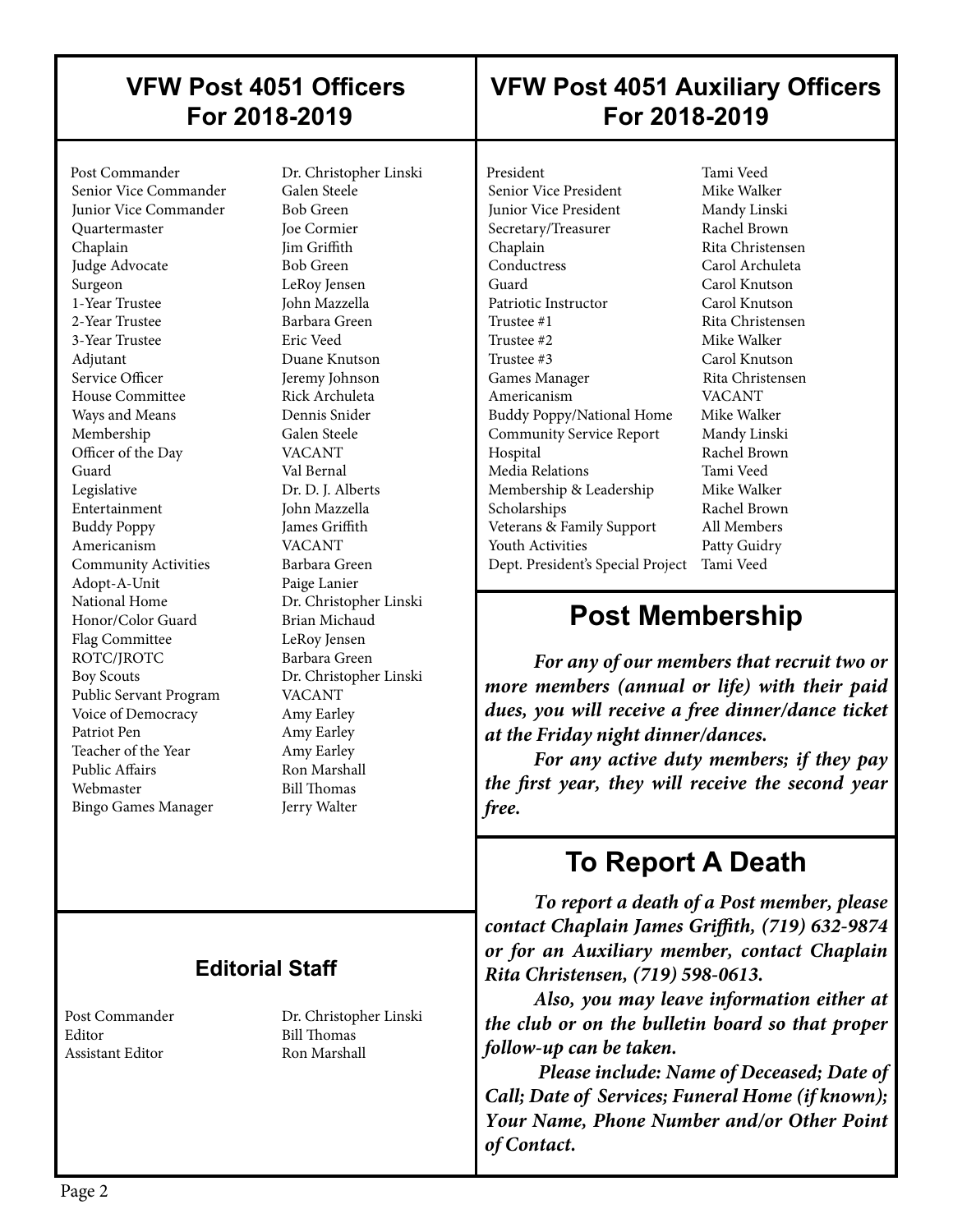### **VFW Post 4051 Officers For 2018-2019**

#### Post Commander Dr. Christopher Linski Senior Vice Commander **Junior Vice Commander** Bob Green Quartermaster Joe Cormier Chaplain Jim Griffith Judge Advocate Bob Green Surgeon LeRoy Jensen 1-Year Trustee John Mazzella 2-Year Trustee Barbara Green 3-Year Trustee Eric Veed Adjutant Duane Knutson Service Officer Jeremy Johnson House Committee **Rick Archuleta** Ways and Means **Dennis Snider**  Membership Galen Steele Officer of the Day VACANT Guard Val Bernal Legislative Dr. D. J. Alberts Entertainment John Mazzella Buddy Poppy James Griffith Americanism VACANT Community Activities Barbara Green Adopt-A-Unit Paige Lanier National Home Dr. Christopher Linski Honor/Color Guard Brian Michaud Flag Committee LeRoy Jensen ROTC/JROTC Barbara Green Boy Scouts Dr. Christopher Linski Public Servant Program VACANT Voice of Democracy Amy Earley Patriot Pen Amy Earley Teacher of the Year **Amy Earley**<br> **Public Affairs Ron Marshall** Public Affairs Webmaster Bill Thomas Bingo Games Manager Jerry Walter

 $\overline{\phantom{a}}$ 

### **Editorial Staff**

Editor Bill Thomas Assistant Editor Ron Marshall

Post Commander Dr. Christopher Linski

### **VFW Post 4051 Auxiliary Officers For 2018-2019**

President Tami Veed<br>
Senior Vice President Mike Walker Senior Vice President **Junior Vice President Mandy Linski** Secretary/Treasurer Rachel Brown Chaplain Rita Christensen<br>
Carol Archuleta<br>
Carol Archuleta Guard Carol Knutson Patriotic Instructor Carol Knutson Trustee #1 Rita Christensen Trustee #2 Mike Walker Trustee #3 Carol Knutson Games Manager Rita Christensen Americanism VACANT Buddy Poppy/National Home Mike Walker Community Service Report Mandy Linski Hospital Rachel Brown Media Relations Membership & Leadership Mike Walker Scholarships Rachel Brown Veterans & Family Support All Members Youth Activities **Patty Guidry** Dept. President's Special Project Tami Veed

 $\overline{\phantom{a}}$ 

 $\overline{\phantom{a}}$ 

Carol Archuleta

### **Post Membership**

*For any of our members that recruit two or more members (annual or life) with their paid dues, you will receive a free dinner/dance ticket at the Friday night dinner/dances.*

*For any active duty members; if they pay the first year, they will receive the second year free.*

### **To Report A Death**

*To report a death of a Post member, please contact Chaplain James Griffith, (719) 632-9874 or for an Auxiliary member, contact Chaplain Rita Christensen, (719) 598-0613.* 

*Also, you may leave information either at the club or on the bulletin board so that proper follow-up can be taken.* 

 *Please include: Name of Deceased; Date of Call; Date of Services; Funeral Home (if known); Your Name, Phone Number and/or Other Point of Contact.*

 $\overline{\phantom{a}}$ 

 $\overline{\phantom{a}}$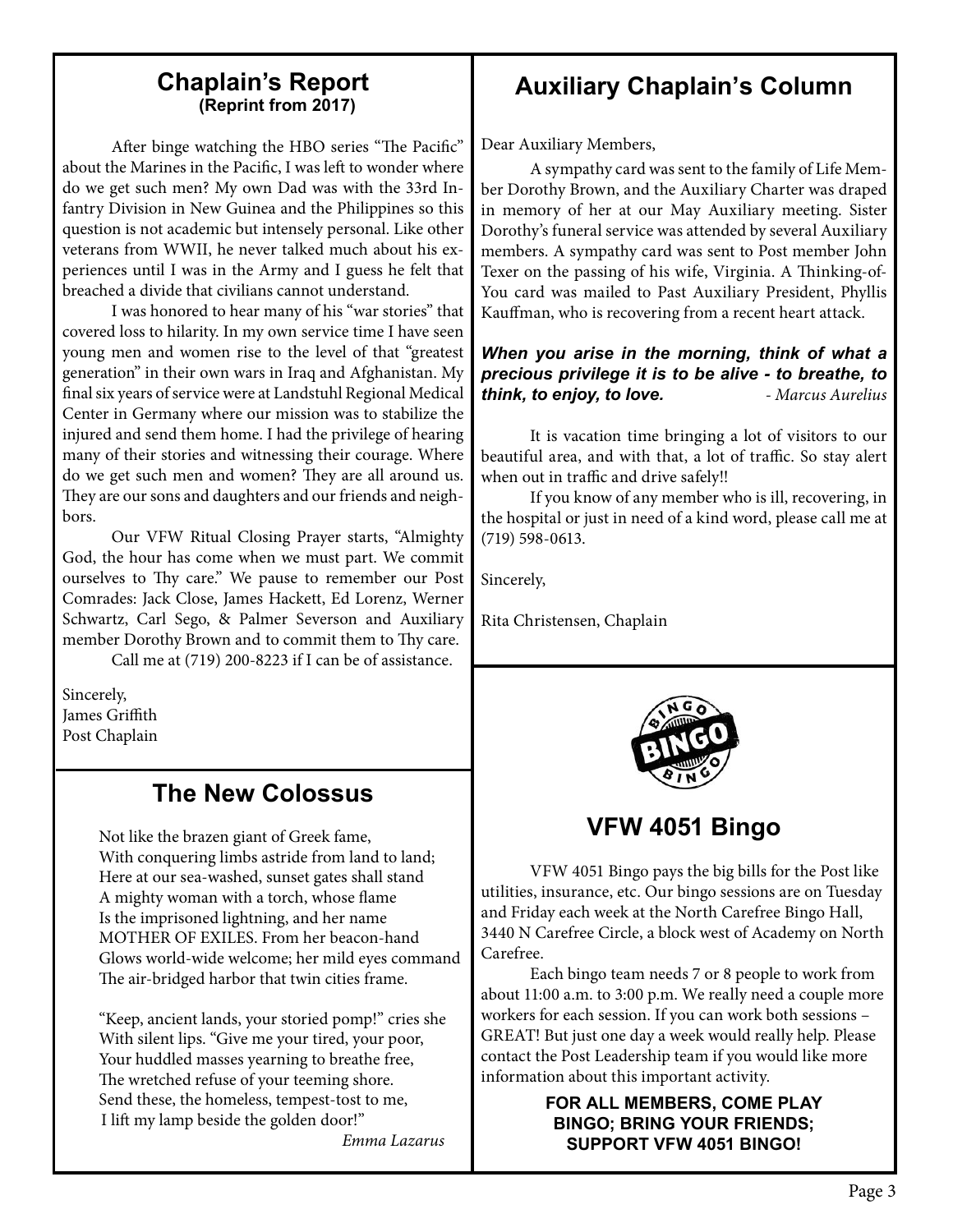#### **Chaplain's Report (Reprint from 2017)**

After binge watching the HBO series "The Pacific" about the Marines in the Pacific, I was left to wonder where do we get such men? My own Dad was with the 33rd Infantry Division in New Guinea and the Philippines so this question is not academic but intensely personal. Like other veterans from WWII, he never talked much about his experiences until I was in the Army and I guess he felt that breached a divide that civilians cannot understand.

I was honored to hear many of his "war stories" that covered loss to hilarity. In my own service time I have seen young men and women rise to the level of that "greatest generation" in their own wars in Iraq and Afghanistan. My final six years of service were at Landstuhl Regional Medical Center in Germany where our mission was to stabilize the injured and send them home. I had the privilege of hearing many of their stories and witnessing their courage. Where do we get such men and women? They are all around us. They are our sons and daughters and our friends and neighbors.

Our VFW Ritual Closing Prayer starts, "Almighty God, the hour has come when we must part. We commit ourselves to Thy care." We pause to remember our Post Comrades: Jack Close, James Hackett, Ed Lorenz, Werner Schwartz, Carl Sego, & Palmer Severson and Auxiliary member Dorothy Brown and to commit them to Thy care.

Call me at (719) 200-8223 if I can be of assistance.

Sincerely, James Griffith Post Chaplain

### **The New Colossus**

Not like the brazen giant of Greek fame, With conquering limbs astride from land to land; Here at our sea-washed, sunset gates shall stand A mighty woman with a torch, whose flame Is the imprisoned lightning, and her name MOTHER OF EXILES. From her beacon-hand Glows world-wide welcome; her mild eyes command The air-bridged harbor that twin cities frame.

"Keep, ancient lands, your storied pomp!" cries she With silent lips. "Give me your tired, your poor, Your huddled masses yearning to breathe free, The wretched refuse of your teeming shore. Send these, the homeless, tempest-tost to me, I lift my lamp beside the golden door!"

*Emma Lazarus*

### **Auxiliary Chaplain's Column**

Dear Auxiliary Members,

A sympathy card was sent to the family of Life Member Dorothy Brown, and the Auxiliary Charter was draped in memory of her at our May Auxiliary meeting. Sister Dorothy's funeral service was attended by several Auxiliary members. A sympathy card was sent to Post member John Texer on the passing of his wife, Virginia. A Thinking-of-You card was mailed to Past Auxiliary President, Phyllis Kauffman, who is recovering from a recent heart attack.

#### *When you arise in the morning, think of what a precious privilege it is to be alive - to breathe, to think, to enjoy, to love.**- Marcus Aurelius*

It is vacation time bringing a lot of visitors to our beautiful area, and with that, a lot of traffic. So stay alert when out in traffic and drive safely!!

If you know of any member who is ill, recovering, in the hospital or just in need of a kind word, please call me at (719) 598-0613.

Sincerely,

Rita Christensen, Chaplain



### **VFW 4051 Bingo**

VFW 4051 Bingo pays the big bills for the Post like utilities, insurance, etc. Our bingo sessions are on Tuesday and Friday each week at the North Carefree Bingo Hall, 3440 N Carefree Circle, a block west of Academy on North Carefree.

Each bingo team needs 7 or 8 people to work from about 11:00 a.m. to 3:00 p.m. We really need a couple more workers for each session. If you can work both sessions – GREAT! But just one day a week would really help. Please contact the Post Leadership team if you would like more information about this important activity.

#### **FOR ALL MEMBERS, COME PLAY BINGO; BRING YOUR FRIENDS; SUPPORT VFW 4051 BINGO!**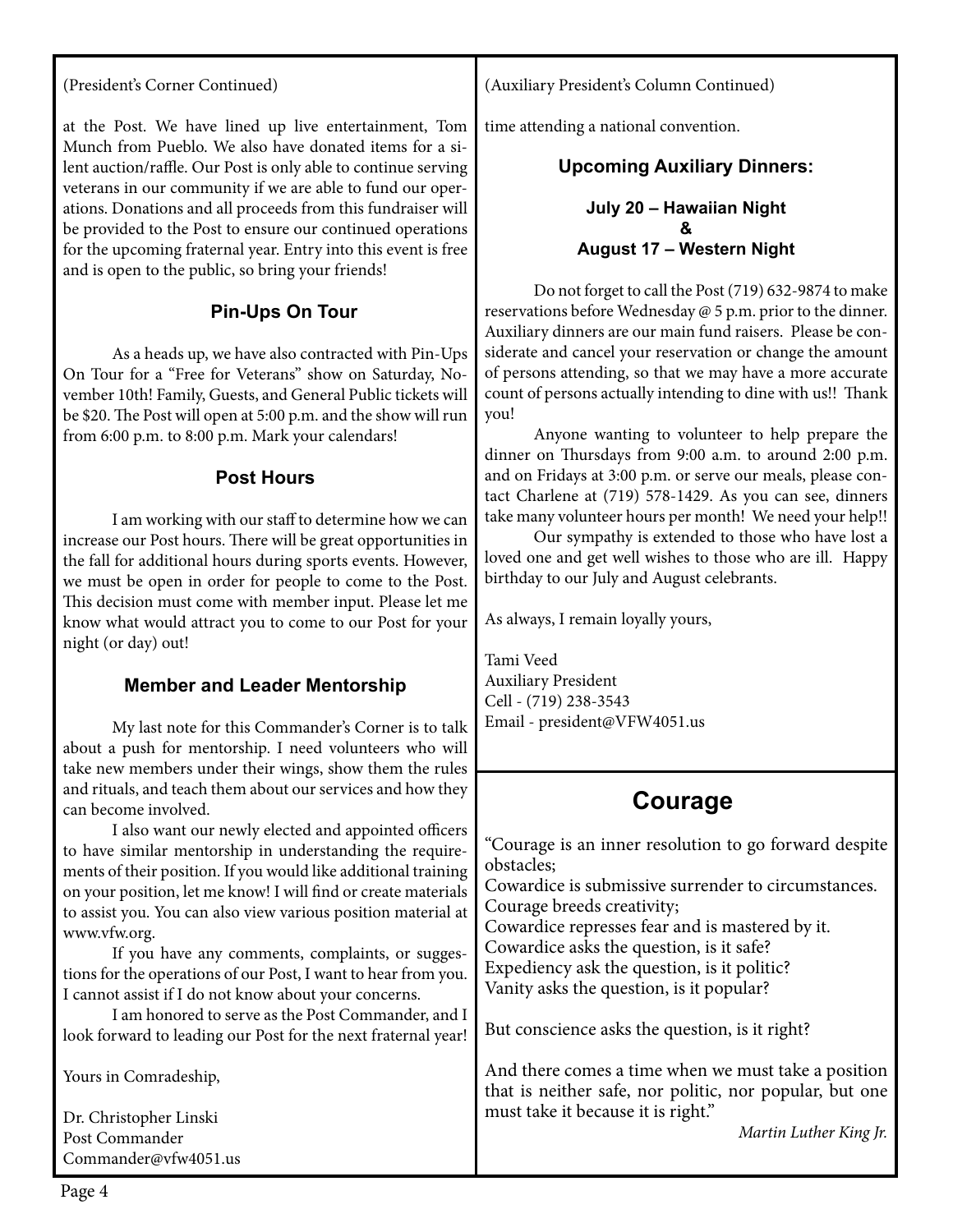#### (President's Corner Continued)

at the Post. We have lined up live entertainment, Tom Munch from Pueblo. We also have donated items for a silent auction/raffle. Our Post is only able to continue serving veterans in our community if we are able to fund our operations. Donations and all proceeds from this fundraiser will be provided to the Post to ensure our continued operations for the upcoming fraternal year. Entry into this event is free and is open to the public, so bring your friends!

#### **Pin-Ups On Tour**

As a heads up, we have also contracted with Pin-Ups On Tour for a "Free for Veterans" show on Saturday, November 10th! Family, Guests, and General Public tickets will be \$20. The Post will open at 5:00 p.m. and the show will run from 6:00 p.m. to 8:00 p.m. Mark your calendars!

#### **Post Hours**

I am working with our staff to determine how we can increase our Post hours. There will be great opportunities in the fall for additional hours during sports events. However, we must be open in order for people to come to the Post. This decision must come with member input. Please let me know what would attract you to come to our Post for your night (or day) out!

#### **Member and Leader Mentorship**

My last note for this Commander's Corner is to talk about a push for mentorship. I need volunteers who will take new members under their wings, show them the rules and rituals, and teach them about our services and how they can become involved.

I also want our newly elected and appointed officers to have similar mentorship in understanding the requirements of their position. If you would like additional training on your position, let me know! I will find or create materials to assist you. You can also view various position material at www.vfw.org.

If you have any comments, complaints, or suggestions for the operations of our Post, I want to hear from you. I cannot assist if I do not know about your concerns.

I am honored to serve as the Post Commander, and I look forward to leading our Post for the next fraternal year!

Yours in Comradeship,

Dr. Christopher Linski Post Commander Commander@vfw4051.us (Auxiliary President's Column Continued)

time attending a national convention.

#### **Upcoming Auxiliary Dinners:**

#### **July 20 – Hawaiian Night & August 17 – Western Night**

Do not forget to call the Post (719) 632-9874 to make reservations before Wednesday @ 5 p.m. prior to the dinner. Auxiliary dinners are our main fund raisers. Please be considerate and cancel your reservation or change the amount of persons attending, so that we may have a more accurate count of persons actually intending to dine with us!! Thank you!

Anyone wanting to volunteer to help prepare the dinner on Thursdays from 9:00 a.m. to around 2:00 p.m. and on Fridays at 3:00 p.m. or serve our meals, please contact Charlene at (719) 578-1429. As you can see, dinners take many volunteer hours per month! We need your help!!

Our sympathy is extended to those who have lost a loved one and get well wishes to those who are ill. Happy birthday to our July and August celebrants.

As always, I remain loyally yours,

Tami Veed Auxiliary President Cell - (719) 238-3543 Email - president@VFW4051.us

### **Courage**

"Courage is an inner resolution to go forward despite obstacles; Cowardice is submissive surrender to circumstances. Courage breeds creativity; Cowardice represses fear and is mastered by it. Cowardice asks the question, is it safe? Expediency ask the question, is it politic? Vanity asks the question, is it popular? But conscience asks the question, is it right? And there comes a time when we must take a position that is neither safe, nor politic, nor popular, but one must take it because it is right." *Martin Luther King Jr.*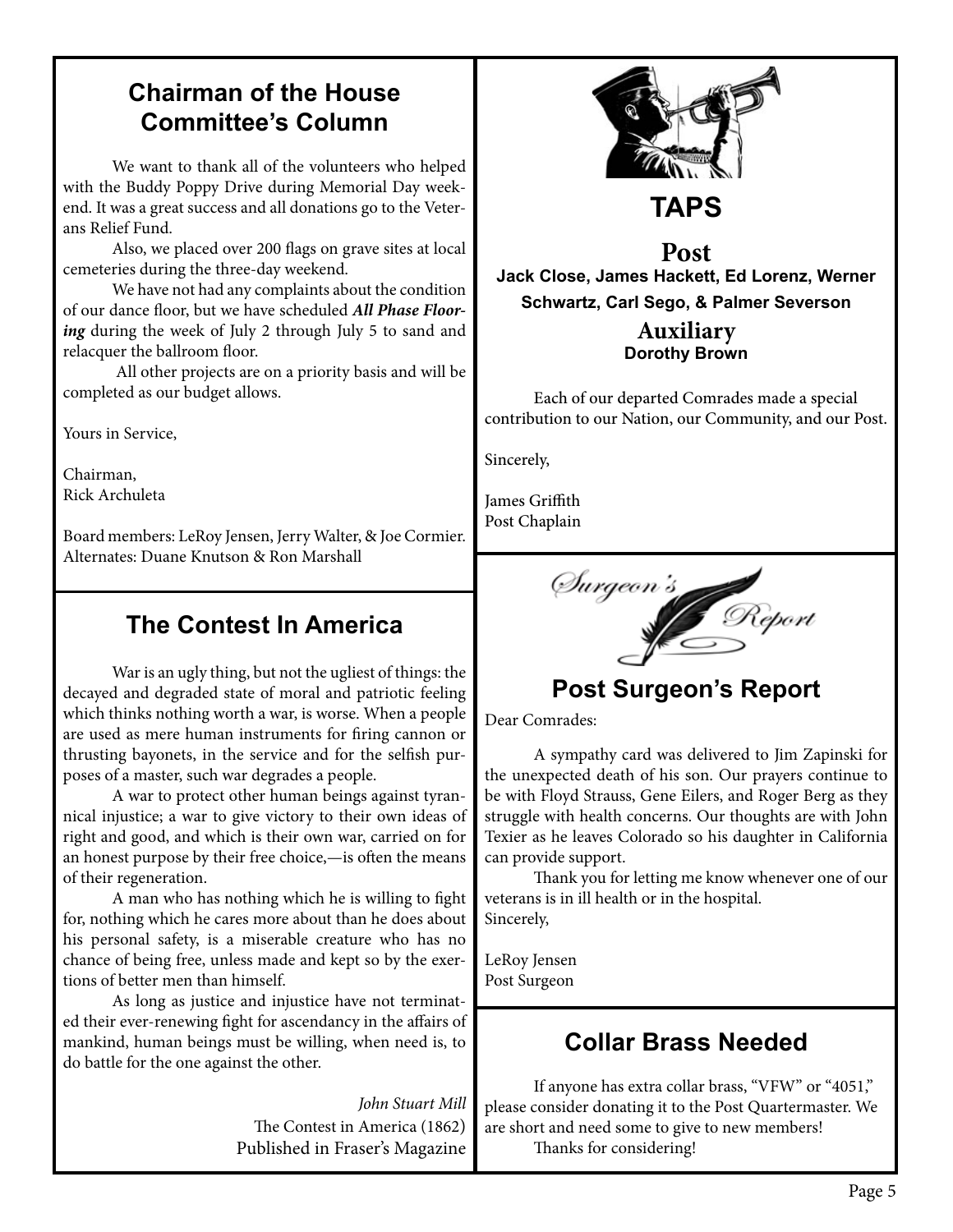### **Chairman of the House Committee's Column**

We want to thank all of the volunteers who helped with the Buddy Poppy Drive during Memorial Day weekend. It was a great success and all donations go to the Veterans Relief Fund.

Also, we placed over 200 flags on grave sites at local cemeteries during the three-day weekend.

 We have not had any complaints about the condition of our dance floor, but we have scheduled *All Phase Flooring* during the week of July 2 through July 5 to sand and relacquer the ballroom floor.

 All other projects are on a priority basis and will be completed as our budget allows.

Yours in Service,

Chairman, Rick Archuleta

Board members: LeRoy Jensen, Jerry Walter, & Joe Cormier. Alternates: Duane Knutson & Ron Marshall

### **The Contest In America**

War is an ugly thing, but not the ugliest of things: the decayed and degraded state of moral and patriotic feeling which thinks nothing worth a war, is worse. When a people are used as mere human instruments for firing cannon or thrusting bayonets, in the service and for the selfish purposes of a master, such war degrades a people.

A war to protect other human beings against tyrannical injustice; a war to give victory to their own ideas of right and good, and which is their own war, carried on for an honest purpose by their free choice,—is often the means of their regeneration.

A man who has nothing which he is willing to fight for, nothing which he cares more about than he does about his personal safety, is a miserable creature who has no chance of being free, unless made and kept so by the exertions of better men than himself.

As long as justice and injustice have not terminated their ever-renewing fight for ascendancy in the affairs of mankind, human beings must be willing, when need is, to do battle for the one against the other.

> *John Stuart Mill* The Contest in America (1862) Published in Fraser's Magazine



**TAPS**

**Post Jack Close, James Hackett, Ed Lorenz, Werner Schwartz, Carl Sego, & Palmer Severson Auxiliary Dorothy Brown**

Each of our departed Comrades made a special contribution to our Nation, our Community, and our Post.

Sincerely,

James Griffith Post Chaplain



### **Post Surgeon's Report**

Dear Comrades:

A sympathy card was delivered to Jim Zapinski for the unexpected death of his son. Our prayers continue to be with Floyd Strauss, Gene Eilers, and Roger Berg as they struggle with health concerns. Our thoughts are with John Texier as he leaves Colorado so his daughter in California can provide support.

Thank you for letting me know whenever one of our veterans is in ill health or in the hospital. Sincerely,

LeRoy Jensen Post Surgeon

### **Collar Brass Needed**

If anyone has extra collar brass, "VFW" or "4051," please consider donating it to the Post Quartermaster. We are short and need some to give to new members! Thanks for considering!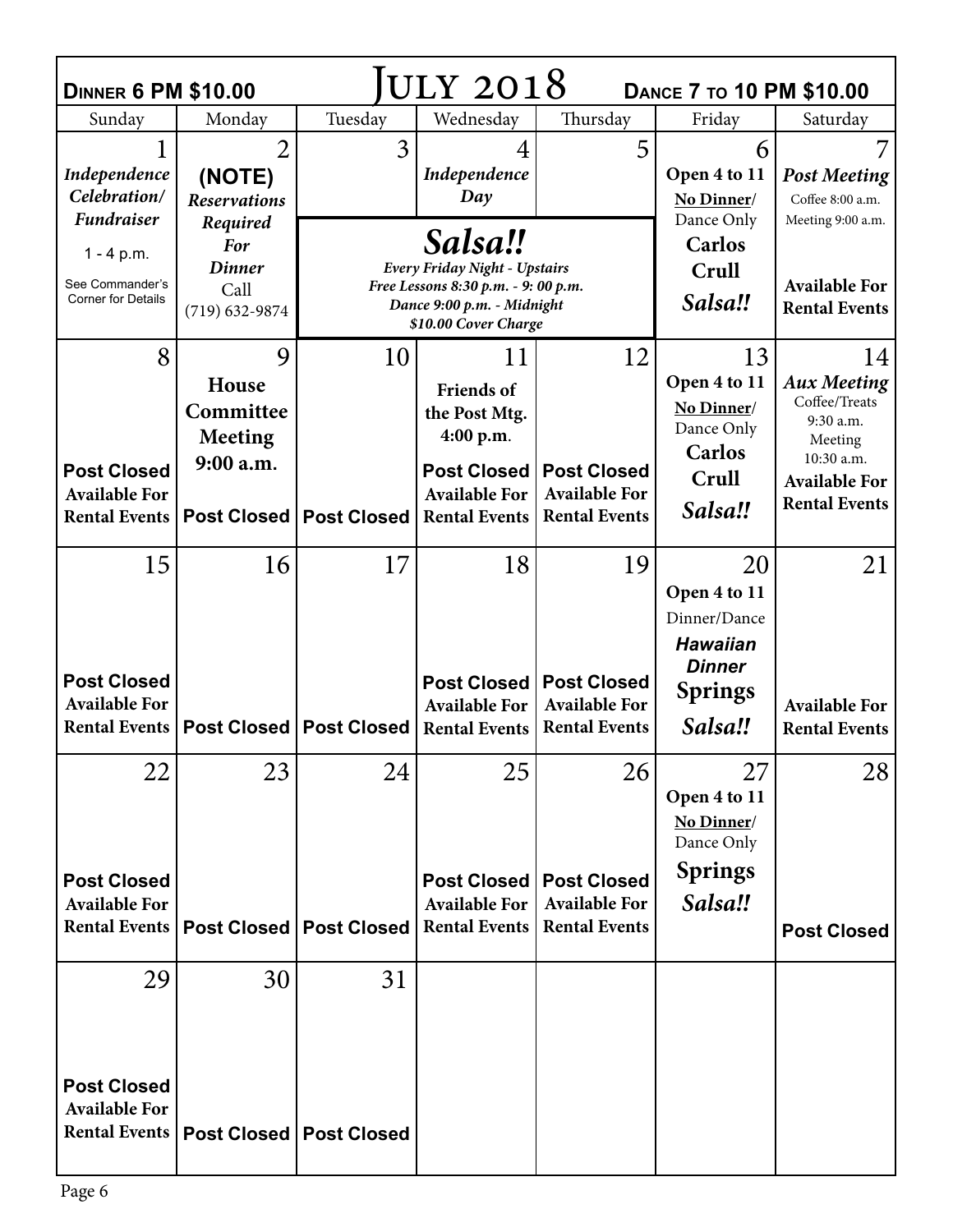| <b>ULY 2018</b><br><b>DINNER 6 PM \$10.00</b><br><b>DANCE 7 TO 10 PM \$10.00</b> |                        |                                    |                                                    |                                            |                          |                                              |  |  |  |  |
|----------------------------------------------------------------------------------|------------------------|------------------------------------|----------------------------------------------------|--------------------------------------------|--------------------------|----------------------------------------------|--|--|--|--|
| Sunday                                                                           | Monday                 | Tuesday                            | Wednesday                                          | Thursday                                   | Friday                   | Saturday                                     |  |  |  |  |
|                                                                                  | $\overline{2}$         | 3                                  | 4                                                  | 5                                          | 6                        |                                              |  |  |  |  |
| Independence                                                                     | (NOTE)                 |                                    | Independence                                       |                                            | Open 4 to 11             | <b>Post Meeting</b>                          |  |  |  |  |
| Celebration/                                                                     | <b>Reservations</b>    |                                    | Day                                                |                                            | No Dinner/               | Coffee 8:00 a.m.                             |  |  |  |  |
| <b>Fundraiser</b>                                                                | Required<br><b>For</b> |                                    | Salsa!!                                            |                                            | Dance Only<br>Carlos     | Meeting 9:00 a.m.                            |  |  |  |  |
| $1 - 4 p.m.$                                                                     | <b>Dinner</b>          | Every Friday Night - Upstairs      |                                                    |                                            | Crull                    |                                              |  |  |  |  |
| See Commander's<br><b>Corner for Details</b>                                     | Call                   | Free Lessons 8:30 p.m. - 9:00 p.m. |                                                    |                                            | Salsa!!                  | <b>Available For</b>                         |  |  |  |  |
|                                                                                  | $(719) 632 - 9874$     |                                    | Dance 9:00 p.m. - Midnight<br>\$10.00 Cover Charge |                                            |                          | <b>Rental Events</b>                         |  |  |  |  |
| 8                                                                                | 9                      | 10                                 | 11                                                 | 12                                         | 13                       | 14                                           |  |  |  |  |
|                                                                                  | House                  |                                    | <b>Friends</b> of                                  |                                            | Open 4 to 11             | <b>Aux Meeting</b>                           |  |  |  |  |
|                                                                                  | Committee              |                                    | the Post Mtg.                                      |                                            | No Dinner/               | Coffee/Treats<br>9:30 a.m.                   |  |  |  |  |
|                                                                                  | <b>Meeting</b>         |                                    | 4:00 p.m.                                          |                                            | Dance Only               | Meeting                                      |  |  |  |  |
| <b>Post Closed</b>                                                               | 9:00 a.m.              |                                    | <b>Post Closed</b>                                 | <b>Post Closed</b>                         | Carlos                   | 10:30 a.m.                                   |  |  |  |  |
| <b>Available For</b>                                                             |                        |                                    | <b>Available For</b>                               | <b>Available For</b>                       | Crull                    | <b>Available For</b><br><b>Rental Events</b> |  |  |  |  |
| <b>Rental Events</b>                                                             |                        | Post Closed   Post Closed          | <b>Rental Events</b>                               | <b>Rental Events</b>                       | Salsa!!                  |                                              |  |  |  |  |
| 15                                                                               | 16                     | 17                                 | 18                                                 | 19                                         | 20                       | 21                                           |  |  |  |  |
|                                                                                  |                        |                                    |                                                    |                                            | Open 4 to 11             |                                              |  |  |  |  |
|                                                                                  |                        |                                    |                                                    |                                            | Dinner/Dance             |                                              |  |  |  |  |
|                                                                                  |                        |                                    |                                                    |                                            | <b>Hawaiian</b>          |                                              |  |  |  |  |
|                                                                                  |                        |                                    |                                                    |                                            | <b>Dinner</b>            |                                              |  |  |  |  |
| <b>Post Closed</b><br><b>Available For</b>                                       |                        |                                    | <b>Post Closed</b><br><b>Available For</b>         | <b>Post Closed</b><br><b>Available For</b> | <b>Springs</b>           | <b>Available For</b>                         |  |  |  |  |
| <b>Rental Events</b>                                                             |                        | <b>Post Closed   Post Closed</b>   | <b>Rental Events</b>                               | <b>Rental Events</b>                       | Salsa!!                  | <b>Rental Events</b>                         |  |  |  |  |
|                                                                                  |                        |                                    |                                                    |                                            |                          |                                              |  |  |  |  |
| 22                                                                               | 23                     | 24                                 | 25                                                 | 26                                         | 27                       | 28                                           |  |  |  |  |
|                                                                                  |                        |                                    |                                                    |                                            | Open 4 to 11             |                                              |  |  |  |  |
|                                                                                  |                        |                                    |                                                    |                                            | No Dinner/<br>Dance Only |                                              |  |  |  |  |
| <b>Post Closed</b>                                                               |                        |                                    |                                                    | <b>Post Closed   Post Closed</b>           | <b>Springs</b>           |                                              |  |  |  |  |
| <b>Available For</b>                                                             |                        |                                    | Available For                                      | <b>Available For</b>                       | Salsa!!                  |                                              |  |  |  |  |
| <b>Rental Events</b>                                                             |                        | <b>Post Closed   Post Closed</b>   | <b>Rental Events</b>                               | <b>Rental Events</b>                       |                          | <b>Post Closed</b>                           |  |  |  |  |
|                                                                                  |                        |                                    |                                                    |                                            |                          |                                              |  |  |  |  |
| 29                                                                               | 30                     | 31                                 |                                                    |                                            |                          |                                              |  |  |  |  |
|                                                                                  |                        |                                    |                                                    |                                            |                          |                                              |  |  |  |  |
|                                                                                  |                        |                                    |                                                    |                                            |                          |                                              |  |  |  |  |
|                                                                                  |                        |                                    |                                                    |                                            |                          |                                              |  |  |  |  |
| <b>Post Closed</b><br><b>Available For</b>                                       |                        |                                    |                                                    |                                            |                          |                                              |  |  |  |  |
| <b>Rental Events</b>                                                             |                        | Post Closed   Post Closed          |                                                    |                                            |                          |                                              |  |  |  |  |
|                                                                                  |                        |                                    |                                                    |                                            |                          |                                              |  |  |  |  |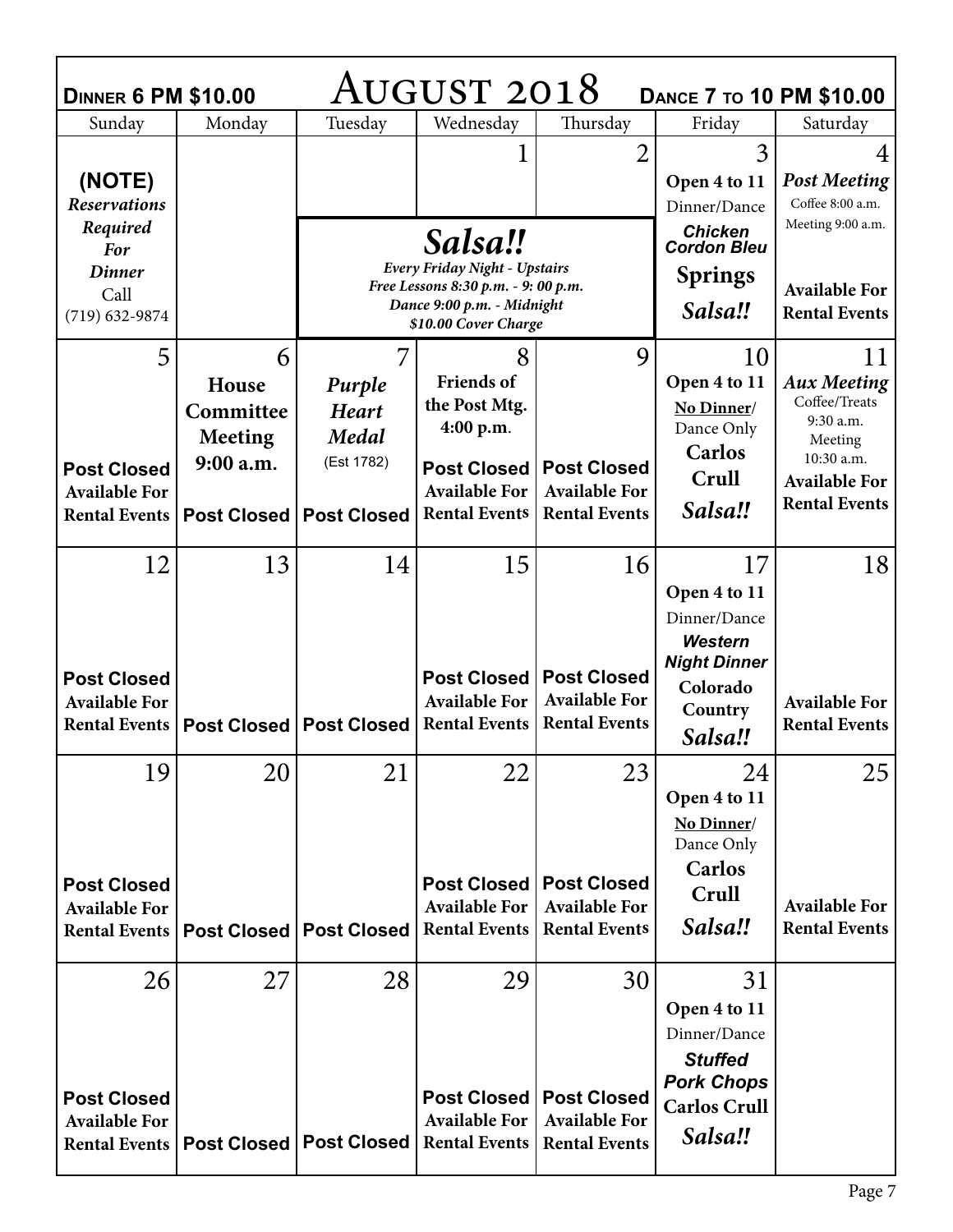| August 2018<br><b>DINNER 6 PM \$10.00</b><br><b>DANCE 7 TO 10 PM \$10.00</b> |                |                                  |                                                                                          |                                  |                                              |                      |  |  |  |  |
|------------------------------------------------------------------------------|----------------|----------------------------------|------------------------------------------------------------------------------------------|----------------------------------|----------------------------------------------|----------------------|--|--|--|--|
| Sunday                                                                       | Monday         | Tuesday                          | Wednesday                                                                                | Thursday                         | Friday                                       | Saturday             |  |  |  |  |
| (NOTE)                                                                       |                |                                  |                                                                                          | $\overline{2}$                   | 3<br>Open 4 to 11                            | <b>Post Meeting</b>  |  |  |  |  |
| <b>Reservations</b>                                                          |                |                                  |                                                                                          |                                  | Dinner/Dance                                 | Coffee 8:00 a.m.     |  |  |  |  |
| Required<br><b>For</b>                                                       |                |                                  | Salsa!!                                                                                  |                                  | <b>Chicken</b><br><b>Cordon Bleu</b>         | Meeting 9:00 a.m.    |  |  |  |  |
| <b>Dinner</b>                                                                |                |                                  | Every Friday Night - Upstairs                                                            | <b>Springs</b>                   |                                              |                      |  |  |  |  |
| Call<br>$(719)$ 632-9874                                                     |                |                                  | Free Lessons 8:30 p.m. - 9:00 p.m.<br>Dance 9:00 p.m. - Midnight<br>\$10.00 Cover Charge | Salsa!!                          | <b>Available For</b><br><b>Rental Events</b> |                      |  |  |  |  |
| 5                                                                            | 6              | 7                                | 8                                                                                        | 9                                | 10                                           | 11                   |  |  |  |  |
|                                                                              | House          | Purple                           | <b>Friends of</b>                                                                        |                                  | Open 4 to 11                                 | <b>Aux Meeting</b>   |  |  |  |  |
|                                                                              | Committee      | <b>Heart</b>                     | the Post Mtg.                                                                            |                                  | No Dinner/                                   | Coffee/Treats        |  |  |  |  |
|                                                                              | <b>Meeting</b> | Medal                            | 4:00 p.m.                                                                                |                                  | Dance Only                                   | 9:30 a.m.<br>Meeting |  |  |  |  |
| <b>Post Closed</b>                                                           | 9:00 a.m.      | (Est 1782)                       | <b>Post Closed</b>                                                                       | <b>Post Closed</b>               | Carlos                                       | 10:30 a.m.           |  |  |  |  |
| <b>Available For</b>                                                         |                |                                  | <b>Available For</b>                                                                     | <b>Available For</b>             | Crull                                        | <b>Available For</b> |  |  |  |  |
| <b>Rental Events</b>                                                         |                | Post Closed   Post Closed        | <b>Rental Events</b>                                                                     | <b>Rental Events</b>             | Salsa!!                                      | <b>Rental Events</b> |  |  |  |  |
|                                                                              |                |                                  |                                                                                          |                                  |                                              |                      |  |  |  |  |
| 12                                                                           | 13             | 14                               | 15                                                                                       | 16                               | 17                                           | 18                   |  |  |  |  |
|                                                                              |                |                                  |                                                                                          |                                  | Open 4 to 11                                 |                      |  |  |  |  |
|                                                                              |                |                                  |                                                                                          |                                  | Dinner/Dance                                 |                      |  |  |  |  |
|                                                                              |                |                                  |                                                                                          |                                  | <b>Western</b>                               |                      |  |  |  |  |
| <b>Post Closed</b>                                                           |                |                                  | <b>Post Closed</b>                                                                       | <b>Post Closed</b>               | <b>Night Dinner</b>                          |                      |  |  |  |  |
| <b>Available For</b>                                                         |                |                                  | <b>Available For</b>                                                                     | <b>Available For</b>             | Colorado<br>Country                          | <b>Available For</b> |  |  |  |  |
| <b>Rental Events</b>                                                         |                | <b>Post Closed   Post Closed</b> | <b>Rental Events</b>                                                                     | <b>Rental Events</b>             | Salsa!!                                      | <b>Rental Events</b> |  |  |  |  |
|                                                                              |                |                                  |                                                                                          |                                  |                                              |                      |  |  |  |  |
| 19                                                                           | 20             | 21                               | 22                                                                                       | 23                               | 24                                           | 25                   |  |  |  |  |
|                                                                              |                |                                  |                                                                                          |                                  | Open 4 to 11                                 |                      |  |  |  |  |
|                                                                              |                |                                  |                                                                                          |                                  | No Dinner/<br>Dance Only                     |                      |  |  |  |  |
|                                                                              |                |                                  |                                                                                          |                                  | Carlos                                       |                      |  |  |  |  |
| <b>Post Closed</b>                                                           |                |                                  |                                                                                          | <b>Post Closed   Post Closed</b> | Crull                                        |                      |  |  |  |  |
| <b>Available For</b>                                                         |                |                                  | <b>Available For</b>                                                                     | <b>Available For</b>             |                                              | <b>Available For</b> |  |  |  |  |
| <b>Rental Events</b>                                                         | Post Closed    | <b>Post Closed</b>               | <b>Rental Events</b>                                                                     | <b>Rental Events</b>             | Salsa!!                                      | <b>Rental Events</b> |  |  |  |  |
| 26                                                                           | 27             | 28                               | 29                                                                                       | 30                               | 31                                           |                      |  |  |  |  |
|                                                                              |                |                                  |                                                                                          |                                  | Open 4 to 11                                 |                      |  |  |  |  |
|                                                                              |                |                                  |                                                                                          |                                  | Dinner/Dance                                 |                      |  |  |  |  |
|                                                                              |                |                                  |                                                                                          |                                  | <b>Stuffed</b>                               |                      |  |  |  |  |
|                                                                              |                |                                  |                                                                                          | <b>Post Closed   Post Closed</b> | <b>Pork Chops</b>                            |                      |  |  |  |  |
| <b>Post Closed</b><br><b>Available For</b>                                   |                |                                  | <b>Available For</b>                                                                     | <b>Available For</b>             | <b>Carlos Crull</b>                          |                      |  |  |  |  |
| <b>Rental Events</b>                                                         |                | <b>Post Closed   Post Closed</b> | <b>Rental Events</b>                                                                     | <b>Rental Events</b>             | Salsa!!                                      |                      |  |  |  |  |
|                                                                              |                |                                  |                                                                                          |                                  |                                              |                      |  |  |  |  |

Г

٦